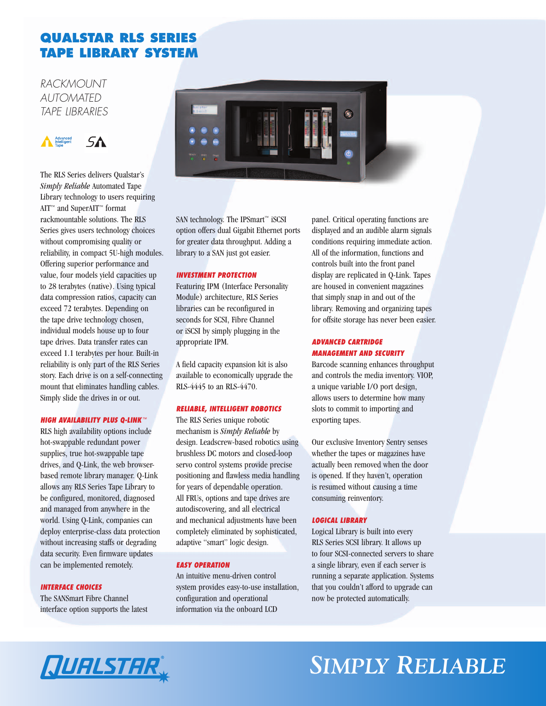# **QUALSTAR RLS SERIES TAPE LIBRARY SYSTEM**

*RACKMOUNT AUTOMATED TAPE LIBRARIES* 



The RLS Series delivers Qualstar's *Simply Reliable* Automated Tape Library technology to users requiring AIT™ and SuperAIT™ format rackmountable solutions. The RLS Series gives users technology choices without compromising quality or reliability, in compact 5U-high modules. Offering superior performance and value, four models yield capacities up to 28 terabytes (native). Using typical data compression ratios, capacity can exceed 72 terabytes. Depending on the tape drive technology chosen, individual models house up to four tape drives. Data transfer rates can exceed 1.1 terabytes per hour. Built-in reliability is only part of the RLS Series story. Each drive is on a self-connecting mount that eliminates handling cables. Simply slide the drives in or out.

### *HIGH AVAILABILITY PLUS Q-LINK™*

RLS high availability options include hot-swappable redundant power supplies, true hot-swappable tape drives, and Q-Link, the web browserbased remote library manager. Q-Link allows any RLS Series Tape Library to be configured, monitored, diagnosed and managed from anywhere in the world. Using Q-Link, companies can deploy enterprise-class data protection without increasing staffs or degrading data security. Even firmware updates can be implemented remotely.

### *INTERFACE CHOICES*

The SANSmart Fibre Channel interface option supports the latest



SAN technology. The IPSmart™ iSCSI option offers dual Gigabit Ethernet ports for greater data throughput. Adding a library to a SAN just got easier.

#### *INVESTMENT PROTECTION*

Featuring IPM (Interface Personality Module) architecture, RLS Series libraries can be reconfigured in seconds for SCSI, Fibre Channel or iSCSI by simply plugging in the appropriate IPM.

A field capacity expansion kit is also available to economically upgrade the RLS-4445 to an RLS-4470.

### *RELIABLE, INTELLIGENT ROBOTICS*

The RLS Series unique robotic mechanism is *Simply Reliable* by design. Leadscrew-based robotics using brushless DC motors and closed-loop servo control systems provide precise positioning and flawless media handling for years of dependable operation. All FRUs, options and tape drives are autodiscovering, and all electrical and mechanical adjustments have been completely eliminated by sophisticated, adaptive "smart" logic design.

### *EASY OPERATION*

An intuitive menu-driven control system provides easy-to-use installation, configuration and operational information via the onboard LCD

panel. Critical operating functions are displayed and an audible alarm signals conditions requiring immediate action. All of the information, functions and controls built into the front panel display are replicated in Q-Link. Tapes are housed in convenient magazines that simply snap in and out of the library. Removing and organizing tapes for offsite storage has never been easier.

### *ADVANCED CARTRIDGE MANAGEMENT AND SECURITY*

Barcode scanning enhances throughput and controls the media inventory. VIOP, a unique variable I/O port design, allows users to determine how many slots to commit to importing and exporting tapes.

Our exclusive Inventory Sentry senses whether the tapes or magazines have actually been removed when the door is opened. If they haven't, operation is resumed without causing a time consuming reinventory.

### *LOGICAL LIBRARY*

Logical Library is built into every RLS Series SCSI library. It allows up to four SCSI-connected servers to share a single library, even if each server is running a separate application. Systems that you couldn't afford to upgrade can now be protected automatically.

# *SIMPLY RELIABLE*